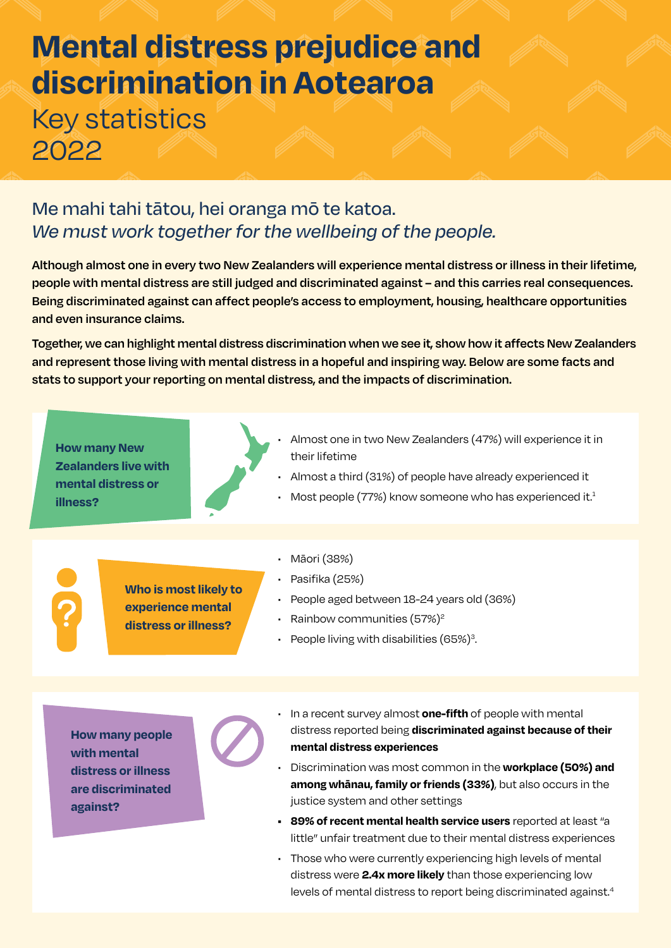## **Mental distress prejudice and discrimination in Aotearoa** Key statistics 2022

## Me mahi tahi tātou, hei oranga mō te katoa. *We must work together for the wellbeing of the people.*

**Although almost one in every two New Zealanders will experience mental distress or illness in their lifetime, people with mental distress are still judged and discriminated against – and this carries real consequences. Being discriminated against can affect people's access to employment, housing, healthcare opportunities and even insurance claims.**

**Together, we can highlight mental distress discrimination when we see it, show how it affects New Zealanders and represent those living with mental distress in a hopeful and inspiring way. Below are some facts and stats to support your reporting on mental distress, and the impacts of discrimination.**

**How many New Zealanders live with mental distress or illness?**



- Almost one in two New Zealanders (47%) will experience it in their lifetime
- Almost a third (31%) of people have already experienced it
- Most people (77%) know someone who has experienced it.<sup>1</sup>

**Who is most likely to experience mental distress or illness?**

- Māori (38%)
- Pasifika (25%)
- People aged between 18-24 years old (36%)
- Rainbow communities  $(57%)^2$
- People living with disabilities  $(65%)^3$ . .

**How many people with mental distress or illness are discriminated against?**

- In a recent survey almost **one-fifth** of people with mental distress reported being **discriminated against because of their mental distress experiences**
- Discrimination was most common in the **workplace (50%) and among whānau, family or friends (33%)**, but also occurs in the justice system and other settings
- **• 89% of recent mental health service users** reported at least "a little" unfair treatment due to their mental distress experiences
- Those who were currently experiencing high levels of mental distress were **2.4x more likely** than those experiencing low levels of mental distress to report being discriminated against.<sup>4</sup>